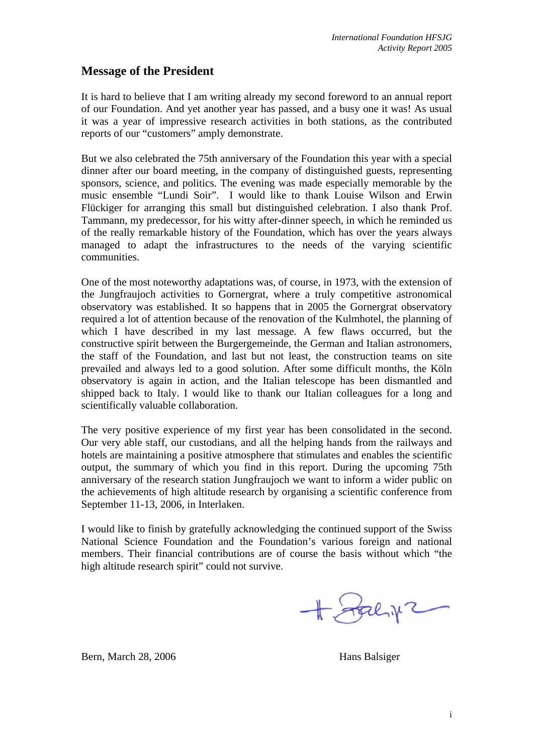## **Message of the President**

It is hard to believe that I am writing already my second foreword to an annual report of our Foundation. And yet another year has passed, and a busy one it was! As usual it was a year of impressive research activities in both stations, as the contributed reports of our "customers" amply demonstrate.

But we also celebrated the 75th anniversary of the Foundation this year with a special dinner after our board meeting, in the company of distinguished guests, representing sponsors, science, and politics. The evening was made especially memorable by the music ensemble "Lundi Soir". I would like to thank Louise Wilson and Erwin Flückiger for arranging this small but distinguished celebration. I also thank Prof. Tammann, my predecessor, for his witty after-dinner speech, in which he reminded us of the really remarkable history of the Foundation, which has over the years always managed to adapt the infrastructures to the needs of the varying scientific communities.

One of the most noteworthy adaptations was, of course, in 1973, with the extension of the Jungfraujoch activities to Gornergrat, where a truly competitive astronomical observatory was established. It so happens that in 2005 the Gornergrat observatory required a lot of attention because of the renovation of the Kulmhotel, the planning of which I have described in my last message. A few flaws occurred, but the constructive spirit between the Burgergemeinde, the German and Italian astronomers, the staff of the Foundation, and last but not least, the construction teams on site prevailed and always led to a good solution. After some difficult months, the Köln observatory is again in action, and the Italian telescope has been dismantled and shipped back to Italy. I would like to thank our Italian colleagues for a long and scientifically valuable collaboration.

The very positive experience of my first year has been consolidated in the second. Our very able staff, our custodians, and all the helping hands from the railways and hotels are maintaining a positive atmosphere that stimulates and enables the scientific output, the summary of which you find in this report. During the upcoming 75th anniversary of the research station Jungfraujoch we want to inform a wider public on the achievements of high altitude research by organising a scientific conference from September 11-13, 2006, in Interlaken.

I would like to finish by gratefully acknowledging the continued support of the Swiss National Science Foundation and the Foundation's various foreign and national members. Their financial contributions are of course the basis without which "the high altitude research spirit" could not survive.

 $+$  Jachy 2

Bern, March 28, 2006 Hans Balsiger